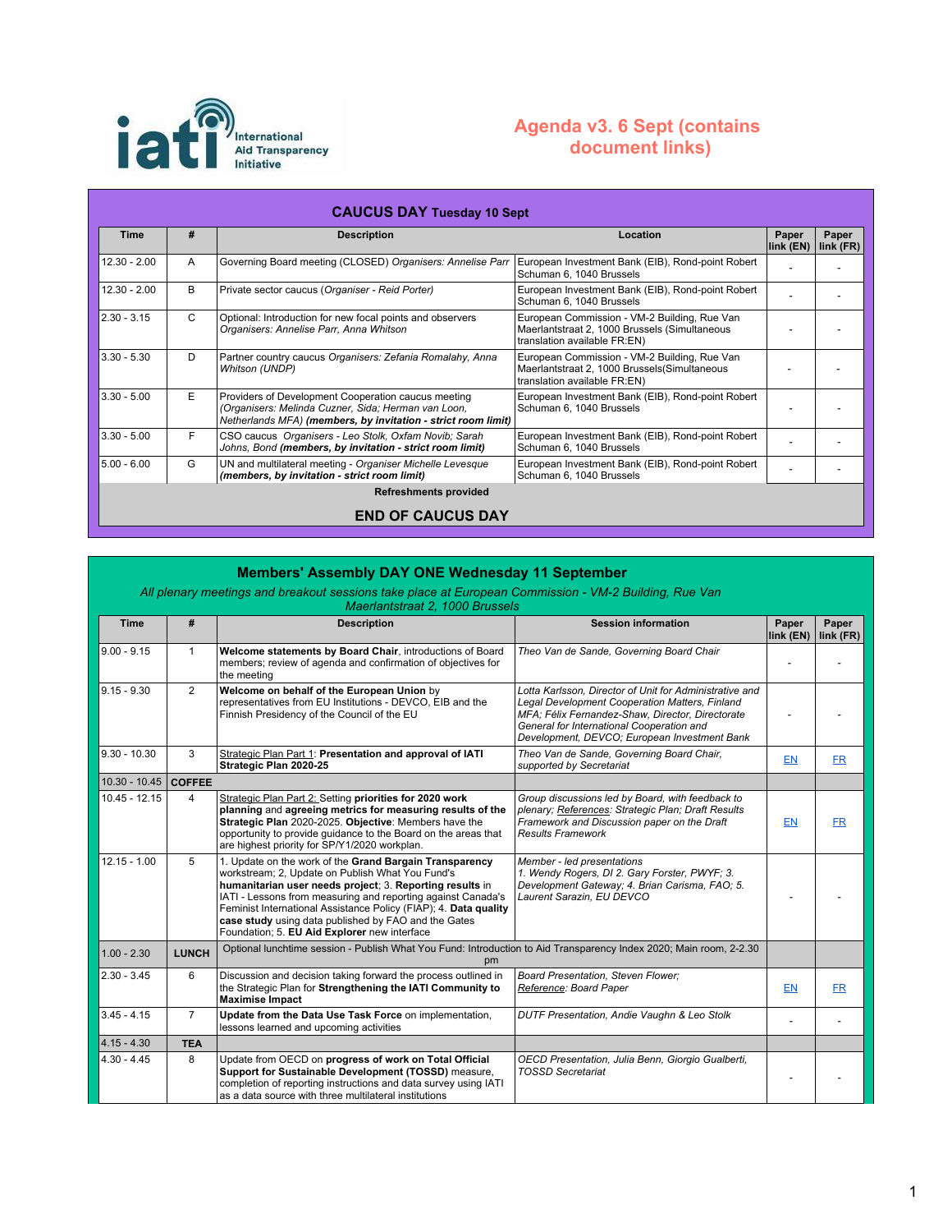

## **Agenda v3. 6 Sept (contains document links)**

| <b>CAUCUS DAY Tuesday 10 Sept</b> |              |                                                                                                                                                                             |                                                                                                                               |                          |                    |  |
|-----------------------------------|--------------|-----------------------------------------------------------------------------------------------------------------------------------------------------------------------------|-------------------------------------------------------------------------------------------------------------------------------|--------------------------|--------------------|--|
| <b>Time</b>                       | #            | <b>Description</b>                                                                                                                                                          | Location                                                                                                                      | Paper<br>$link$ ( $EN$ ) | Paper<br>link (FR) |  |
| $12.30 - 2.00$                    | A            | Governing Board meeting (CLOSED) Organisers: Annelise Parr                                                                                                                  | European Investment Bank (EIB), Rond-point Robert<br>Schuman 6, 1040 Brussels                                                 |                          |                    |  |
| $12.30 - 2.00$                    | B            | Private sector caucus (Organiser - Reid Porter)                                                                                                                             | European Investment Bank (EIB), Rond-point Robert<br>Schuman 6, 1040 Brussels                                                 |                          |                    |  |
| $2.30 - 3.15$                     | $\mathsf{C}$ | Optional: Introduction for new focal points and observers<br>Organisers: Annelise Parr, Anna Whitson                                                                        | European Commission - VM-2 Building, Rue Van<br>Maerlantstraat 2, 1000 Brussels (Simultaneous<br>translation available FR:EN) |                          |                    |  |
| $3.30 - 5.30$                     | D            | Partner country caucus Organisers: Zefania Romalahy, Anna<br>Whitson (UNDP)                                                                                                 | European Commission - VM-2 Building, Rue Van<br>Maerlantstraat 2, 1000 Brussels (Simultaneous<br>translation available FR:EN) |                          |                    |  |
| $3.30 - 5.00$                     | E.           | Providers of Development Cooperation caucus meeting<br>(Organisers: Melinda Cuzner, Sida; Herman van Loon,<br>Netherlands MFA) (members, by invitation - strict room limit) | European Investment Bank (EIB), Rond-point Robert<br>Schuman 6, 1040 Brussels                                                 |                          |                    |  |
| $3.30 - 5.00$                     | F            | CSO caucus Organisers - Leo Stolk, Oxfam Novib; Sarah<br>Johns, Bond (members, by invitation - strict room limit)                                                           | European Investment Bank (EIB), Rond-point Robert<br>Schuman 6, 1040 Brussels                                                 |                          |                    |  |
| $5.00 - 6.00$                     | G            | UN and multilateral meeting - Organiser Michelle Levesque<br>(members, by invitation - strict room limit)                                                                   | European Investment Bank (EIB), Rond-point Robert<br>Schuman 6, 1040 Brussels                                                 |                          |                    |  |
| <b>Refreshments provided</b>      |              |                                                                                                                                                                             |                                                                                                                               |                          |                    |  |
| <b>END OF CAUCUS DAY</b>          |              |                                                                                                                                                                             |                                                                                                                               |                          |                    |  |

## **Members' Assembly DAY ONE Wednesday 11 September**

## *All plenary meetings and breakout sessions take place at European Commission - VM-2 Building, Rue Van*

*Maerlantstraat 2, 1000 Brussels* **Time # Description Paper Paper Paper Paper Paper Paper Paper** 

| <b>Time</b>     | #              | <b>Description</b>                                                                                                                                                                                                                                                                                                                                                                                                  | <b>Session information</b>                                                                                                                                                                                                                                 | Paper<br>link (EN) | Paper<br>link (FR) |
|-----------------|----------------|---------------------------------------------------------------------------------------------------------------------------------------------------------------------------------------------------------------------------------------------------------------------------------------------------------------------------------------------------------------------------------------------------------------------|------------------------------------------------------------------------------------------------------------------------------------------------------------------------------------------------------------------------------------------------------------|--------------------|--------------------|
| $9.00 - 9.15$   | $\mathbf{1}$   | Welcome statements by Board Chair, introductions of Board<br>members; review of agenda and confirmation of objectives for<br>the meeting                                                                                                                                                                                                                                                                            | Theo Van de Sande, Governing Board Chair                                                                                                                                                                                                                   |                    |                    |
| $9.15 - 9.30$   | 2              | Welcome on behalf of the European Union by<br>representatives from EU Institutions - DEVCO, EIB and the<br>Finnish Presidency of the Council of the EU                                                                                                                                                                                                                                                              | Lotta Karlsson, Director of Unit for Administrative and<br>Legal Development Cooperation Matters, Finland<br>MFA; Félix Fernandez-Shaw, Director, Directorate<br>General for International Cooperation and<br>Development, DEVCO; European Investment Bank |                    |                    |
| $9.30 - 10.30$  | 3              | Strategic Plan Part 1: Presentation and approval of IATI<br>Strategic Plan 2020-25                                                                                                                                                                                                                                                                                                                                  | Theo Van de Sande, Governing Board Chair,<br>supported by Secretariat                                                                                                                                                                                      | <b>EN</b>          | <b>FR</b>          |
| $10.30 - 10.45$ | <b>COFFEE</b>  |                                                                                                                                                                                                                                                                                                                                                                                                                     |                                                                                                                                                                                                                                                            |                    |                    |
| $10.45 - 12.15$ | $\overline{4}$ | Strategic Plan Part 2: Setting priorities for 2020 work<br>planning and agreeing metrics for measuring results of the<br>Strategic Plan 2020-2025. Objective: Members have the<br>opportunity to provide quidance to the Board on the areas that<br>are highest priority for SP/Y1/2020 workplan.                                                                                                                   | Group discussions led by Board, with feedback to<br>plenary; References: Strategic Plan; Draft Results<br>Framework and Discussion paper on the Draft<br><b>Results Framework</b>                                                                          | <b>EN</b>          | <b>FR</b>          |
| $12.15 - 1.00$  | 5              | 1. Update on the work of the Grand Bargain Transparency<br>workstream; 2, Update on Publish What You Fund's<br>humanitarian user needs project; 3. Reporting results in<br>IATI - Lessons from measuring and reporting against Canada's<br>Feminist International Assistance Policy (FIAP); 4. Data quality<br>case study using data published by FAO and the Gates<br>Foundation; 5. EU Aid Explorer new interface | Member - led presentations<br>1. Wendy Rogers, DI 2. Gary Forster, PWYF; 3.<br>Development Gateway; 4. Brian Carisma, FAO; 5.<br>Laurent Sarazin, EU DEVCO                                                                                                 |                    |                    |
| $1.00 - 2.30$   | <b>LUNCH</b>   | Optional lunchtime session - Publish What You Fund: Introduction to Aid Transparency Index 2020; Main room, 2-2.30<br>pm                                                                                                                                                                                                                                                                                            |                                                                                                                                                                                                                                                            |                    |                    |
| $2.30 - 3.45$   | 6              | Discussion and decision taking forward the process outlined in<br>the Strategic Plan for Strengthening the IATI Community to<br><b>Maximise Impact</b>                                                                                                                                                                                                                                                              | Board Presentation, Steven Flower;<br>Reference: Board Paper                                                                                                                                                                                               | <b>EN</b>          | <b>FR</b>          |
| $3.45 - 4.15$   | $\overline{7}$ | Update from the Data Use Task Force on implementation,<br>lessons learned and upcoming activities                                                                                                                                                                                                                                                                                                                   | DUTF Presentation, Andie Vaughn & Leo Stolk                                                                                                                                                                                                                |                    |                    |
| $4.15 - 4.30$   | <b>TEA</b>     |                                                                                                                                                                                                                                                                                                                                                                                                                     |                                                                                                                                                                                                                                                            |                    |                    |
| $4.30 - 4.45$   | 8              | Update from OECD on progress of work on Total Official<br>Support for Sustainable Development (TOSSD) measure,<br>completion of reporting instructions and data survey using IATI<br>as a data source with three multilateral institutions                                                                                                                                                                          | OECD Presentation, Julia Benn, Giorgio Gualberti,<br><b>TOSSD Secretariat</b>                                                                                                                                                                              |                    |                    |